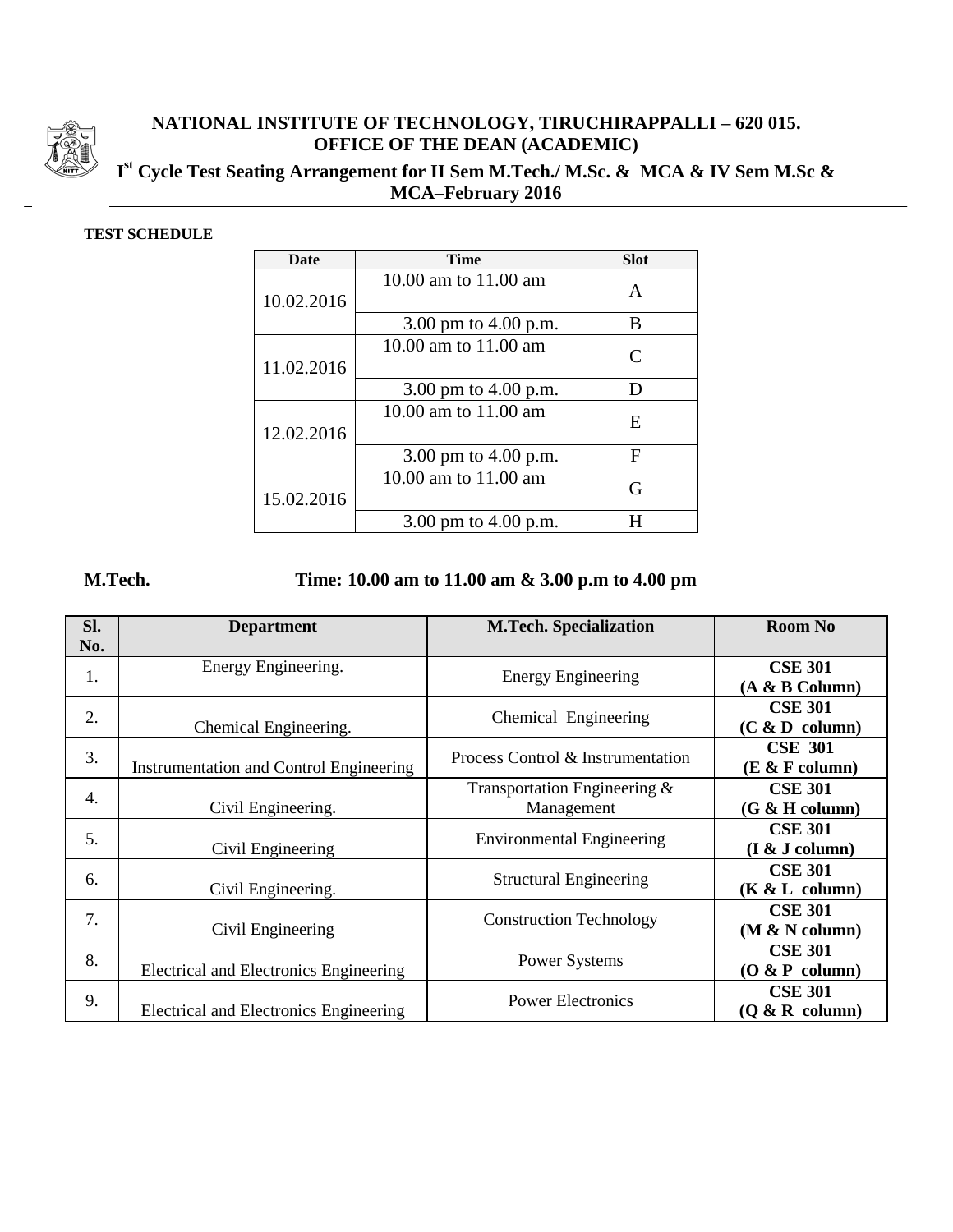

## **NATIONAL INSTITUTE OF TECHNOLOGY, TIRUCHIRAPPALLI – 620 015. OFFICE OF THE DEAN (ACADEMIC)**

## **I st Cycle Test Seating Arrangement for II Sem M.Tech./ M.Sc. & MCA & IV Sem M.Sc & MCA–February 2016**

## **TEST SCHEDULE**

| <b>Date</b> | <b>Time</b>            | <b>Slot</b>                 |
|-------------|------------------------|-----------------------------|
| 10.02.2016  | 10.00 am to 11.00 am   | A                           |
|             | 3.00 pm to 4.00 p.m.   | B                           |
| 11.02.2016  | 10.00 am to 11.00 am   | $\mathcal{C}_{\mathcal{C}}$ |
|             | 3.00 pm to $4.00$ p.m. | D                           |
| 12.02.2016  | 10.00 am to 11.00 am   | E                           |
|             | 3.00 pm to $4.00$ p.m. | F                           |
| 15.02.2016  | 10.00 am to 11.00 am   | G                           |
|             | 3.00 pm to $4.00$ p.m. |                             |

## **M.Tech. Time: 10.00 am to 11.00 am & 3.00 p.m to 4.00 pm**

| Sl.<br>No. | <b>Department</b>                       | <b>M.Tech. Specialization</b>              | <b>Room No</b>                     |
|------------|-----------------------------------------|--------------------------------------------|------------------------------------|
| 1.         | Energy Engineering.                     | <b>Energy Engineering</b>                  | <b>CSE 301</b><br>$(A & B$ Column) |
| 2.         | Chemical Engineering.                   | Chemical Engineering                       | <b>CSE 301</b><br>(C & D column)   |
| 3.         | Instrumentation and Control Engineering | Process Control & Instrumentation          | <b>CSE 301</b><br>(E & F column)   |
| 4.         | Civil Engineering.                      | Transportation Engineering &<br>Management | <b>CSE 301</b><br>(G & H column)   |
| 5.         | Civil Engineering                       | <b>Environmental Engineering</b>           | <b>CSE 301</b><br>(I & J column)   |
| 6.         | Civil Engineering.                      | <b>Structural Engineering</b>              | <b>CSE 301</b><br>(K & L column)   |
| 7.         | Civil Engineering                       | <b>Construction Technology</b>             | <b>CSE 301</b><br>(M & N column)   |
| 8.         | Electrical and Electronics Engineering  | Power Systems                              | <b>CSE 301</b><br>(O & P column)   |
| 9.         | Electrical and Electronics Engineering  | <b>Power Electronics</b>                   | <b>CSE 301</b><br>(O & R column)   |